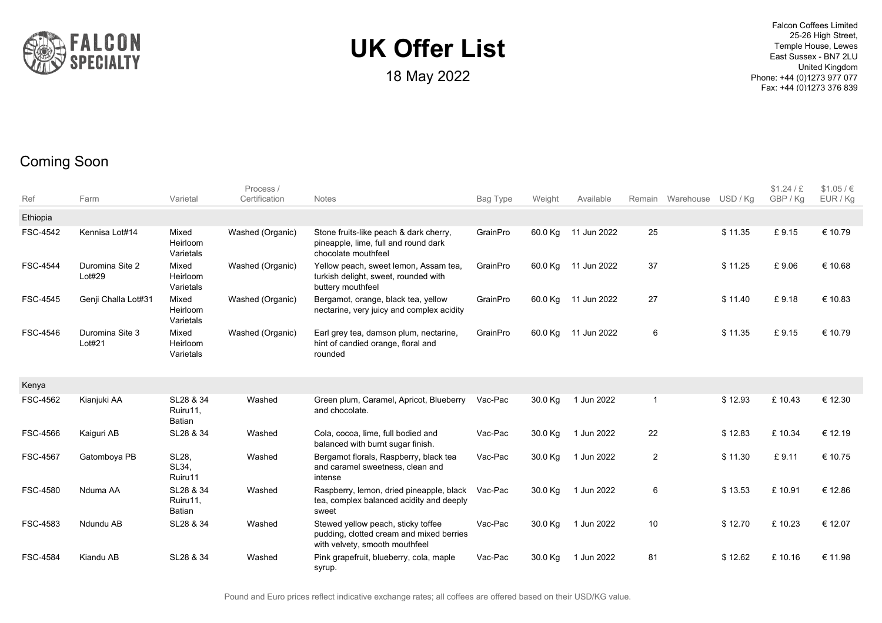

18 May 2022

Falcon Coffees Limited 25-26 High Street, Temple House, Lewes East Sussex - BN7 2LU United Kingdom Phone: +44 (0)1273 977 077 Fax: +44 (0)1273 376 839

#### Coming Soon

| Ref             | Farm                      | Varietal                               | Process /<br>Certification | <b>Notes</b>                                                                                                     | Bag Type | Weight  | Available           | Remain      | Warehouse | USD/Ka  | \$1.24 / E<br>GBP / Kg | \$1.05 / €<br>EUR / Kg |
|-----------------|---------------------------|----------------------------------------|----------------------------|------------------------------------------------------------------------------------------------------------------|----------|---------|---------------------|-------------|-----------|---------|------------------------|------------------------|
| Ethiopia        |                           |                                        |                            |                                                                                                                  |          |         |                     |             |           |         |                        |                        |
| FSC-4542        | Kennisa Lot#14            | Mixed<br>Heirloom<br>Varietals         | Washed (Organic)           | Stone fruits-like peach & dark cherry,<br>pineapple, lime, full and round dark<br>chocolate mouthfeel            | GrainPro | 60.0 Kg | 11 Jun 2022         | 25          |           | \$11.35 | £9.15                  | € 10.79                |
| <b>FSC-4544</b> | Duromina Site 2<br>Lot#29 | Mixed<br>Heirloom<br>Varietals         | Washed (Organic)           | Yellow peach, sweet lemon, Assam tea,<br>turkish delight, sweet, rounded with<br>buttery mouthfeel               | GrainPro | 60.0 Kg | 11 Jun 2022         | 37          |           | \$11.25 | £9.06                  | € 10.68                |
| FSC-4545        | Genji Challa Lot#31       | Mixed<br>Heirloom<br>Varietals         | Washed (Organic)           | Bergamot, orange, black tea, yellow<br>nectarine, very juicy and complex acidity                                 | GrainPro | 60.0 Kg | 11 Jun 2022         | 27          |           | \$11.40 | £9.18                  | € 10.83                |
| FSC-4546        | Duromina Site 3<br>Lot#21 | Mixed<br>Heirloom<br>Varietals         | Washed (Organic)           | Earl grey tea, damson plum, nectarine,<br>hint of candied orange, floral and<br>rounded                          | GrainPro |         | 60.0 Kg 11 Jun 2022 | 6           |           | \$11.35 | £9.15                  | € 10.79                |
| Kenya           |                           |                                        |                            |                                                                                                                  |          |         |                     |             |           |         |                        |                        |
| FSC-4562        | Kianjuki AA               | SL28 & 34<br>Ruiru11.<br>Batian        | Washed                     | Green plum, Caramel, Apricot, Blueberry<br>and chocolate.                                                        | Vac-Pac  | 30.0 Kg | 1 Jun 2022          | $\mathbf 1$ |           | \$12.93 | £10.43                 | € 12.30                |
| FSC-4566        | Kaiguri AB                | SL28 & 34                              | Washed                     | Cola, cocoa, lime, full bodied and<br>balanced with burnt sugar finish.                                          | Vac-Pac  | 30.0 Kg | 1 Jun 2022          | 22          |           | \$12.83 | £10.34                 | € 12.19                |
| <b>FSC-4567</b> | Gatomboya PB              | <b>SL28.</b><br>SL34,<br>Ruiru11       | Washed                     | Bergamot florals, Raspberry, black tea<br>and caramel sweetness, clean and<br>intense                            | Vac-Pac  | 30.0 Kg | 1 Jun 2022          | 2           |           | \$11.30 | £9.11                  | € 10.75                |
| FSC-4580        | Nduma AA                  | SL28 & 34<br>Ruiru11.<br><b>Batian</b> | Washed                     | Raspberry, lemon, dried pineapple, black<br>tea, complex balanced acidity and deeply<br>sweet                    | Vac-Pac  | 30.0 Kg | 1 Jun 2022          | 6           |           | \$13.53 | £10.91                 | € 12.86                |
| FSC-4583        | Ndundu AB                 | SL28 & 34                              | Washed                     | Stewed yellow peach, sticky toffee<br>pudding, clotted cream and mixed berries<br>with velvety, smooth mouthfeel | Vac-Pac  | 30.0 Kg | 1 Jun 2022          | 10          |           | \$12.70 | £10.23                 | € 12.07                |
| <b>FSC-4584</b> | Kiandu AB                 | SL28 & 34                              | Washed                     | Pink grapefruit, blueberry, cola, maple<br>syrup.                                                                | Vac-Pac  | 30.0 Kg | 1 Jun 2022          | 81          |           | \$12.62 | £10.16                 | € 11.98                |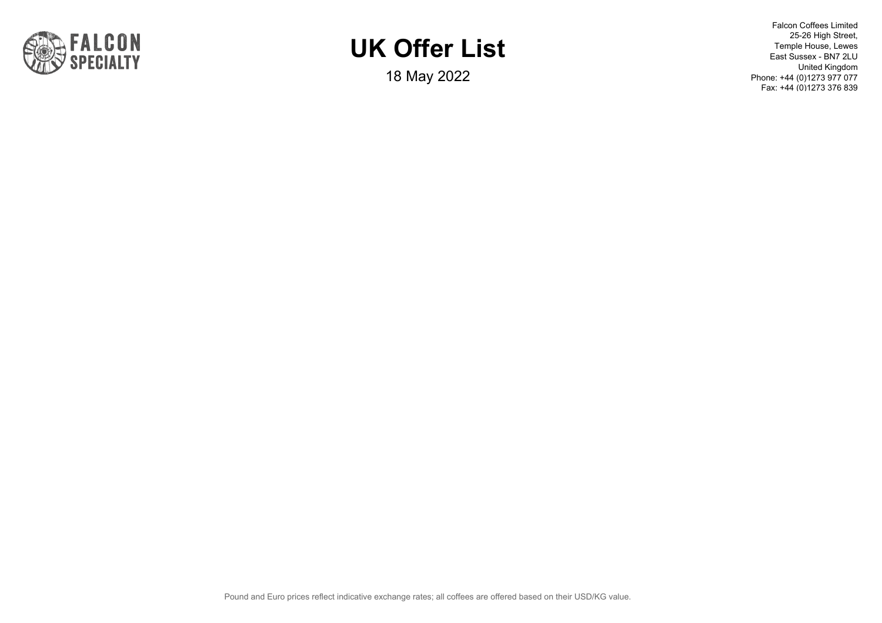

18 May 2022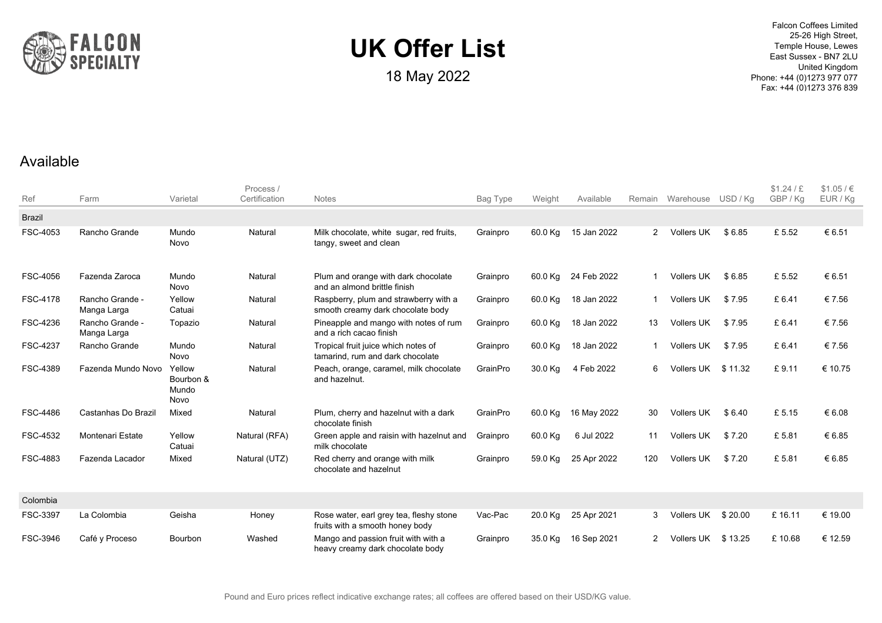

18 May 2022

Falcon Coffees Limited 25-26 High Street, Temple House, Lewes East Sussex - BN7 2LU United Kingdom Phone: +44 (0)1273 977 077 Fax: +44 (0)1273 376 839

#### Available

| Ref             | Farm                           | Varietal                             | Process /<br>Certification | <b>Notes</b>                                                               | Bag Type | Weight  | Available   |                | Remain Warehouse USD / Kg |         | \$1.24 / E<br>GBP / Kg | \$1.05 / €<br>EUR / Kg |
|-----------------|--------------------------------|--------------------------------------|----------------------------|----------------------------------------------------------------------------|----------|---------|-------------|----------------|---------------------------|---------|------------------------|------------------------|
| <b>Brazil</b>   |                                |                                      |                            |                                                                            |          |         |             |                |                           |         |                        |                        |
| FSC-4053        | Rancho Grande                  | Mundo<br><b>Novo</b>                 | Natural                    | Milk chocolate, white sugar, red fruits,<br>tangy, sweet and clean         | Grainpro | 60.0 Kg | 15 Jan 2022 | $\overline{2}$ | Vollers UK                | \$6.85  | £5.52                  | € 6.51                 |
| <b>FSC-4056</b> | Fazenda Zaroca                 | Mundo<br>Novo                        | Natural                    | Plum and orange with dark chocolate<br>and an almond brittle finish        | Grainpro | 60.0 Kg | 24 Feb 2022 | -1             | Vollers UK                | \$6.85  | £5.52                  | € 6.51                 |
| <b>FSC-4178</b> | Rancho Grande -<br>Manga Larga | Yellow<br>Catuai                     | Natural                    | Raspberry, plum and strawberry with a<br>smooth creamy dark chocolate body | Grainpro | 60.0 Kg | 18 Jan 2022 | $\mathbf 1$    | Vollers UK                | \$7.95  | £6.41                  | € 7.56                 |
| FSC-4236        | Rancho Grande -<br>Manga Larga | Topazio                              | Natural                    | Pineapple and mango with notes of rum<br>and a rich cacao finish           | Grainpro | 60.0 Kg | 18 Jan 2022 | 13             | <b>Vollers UK</b>         | \$7.95  | £6.41                  | € 7.56                 |
| FSC-4237        | Rancho Grande                  | Mundo<br>Novo                        | Natural                    | Tropical fruit juice which notes of<br>tamarind, rum and dark chocolate    | Grainpro | 60.0 Kg | 18 Jan 2022 |                | <b>Vollers UK</b>         | \$7.95  | £6.41                  | € 7.56                 |
| FSC-4389        | Fazenda Mundo Novo             | Yellow<br>Bourbon &<br>Mundo<br>Novo | Natural                    | Peach, orange, caramel, milk chocolate<br>and hazelnut.                    | GrainPro | 30.0 Kg | 4 Feb 2022  | 6              | Vollers UK                | \$11.32 | £9.11                  | € 10.75                |
| <b>FSC-4486</b> | Castanhas Do Brazil            | Mixed                                | Natural                    | Plum, cherry and hazelnut with a dark<br>chocolate finish                  | GrainPro | 60.0 Kg | 16 May 2022 | 30             | Vollers UK                | \$6.40  | £5.15                  | € 6.08                 |
| FSC-4532        | <b>Montenari Estate</b>        | Yellow<br>Catuai                     | Natural (RFA)              | Green apple and raisin with hazelnut and<br>milk chocolate                 | Grainpro | 60.0 Kg | 6 Jul 2022  | 11             | <b>Vollers UK</b>         | \$7.20  | £5.81                  | € 6.85                 |
| FSC-4883        | Fazenda Lacador                | Mixed                                | Natural (UTZ)              | Red cherry and orange with milk<br>chocolate and hazelnut                  | Grainpro | 59.0 Kg | 25 Apr 2022 | 120            | <b>Vollers UK</b>         | \$7.20  | £5.81                  | € 6.85                 |
| Colombia        |                                |                                      |                            |                                                                            |          |         |             |                |                           |         |                        |                        |
| <b>FSC-3397</b> | La Colombia                    | Geisha                               | Honey                      | Rose water, earl grey tea, fleshy stone<br>fruits with a smooth honey body | Vac-Pac  | 20.0 Kg | 25 Apr 2021 | 3              | Vollers UK                | \$20.00 | £16.11                 | € 19.00                |
| FSC-3946        | Café y Proceso                 | Bourbon                              | Washed                     | Mango and passion fruit with with a<br>heavy creamy dark chocolate body    | Grainpro | 35.0 Kg | 16 Sep 2021 | $\overline{2}$ | Vollers UK                | \$13.25 | £10.68                 | € 12.59                |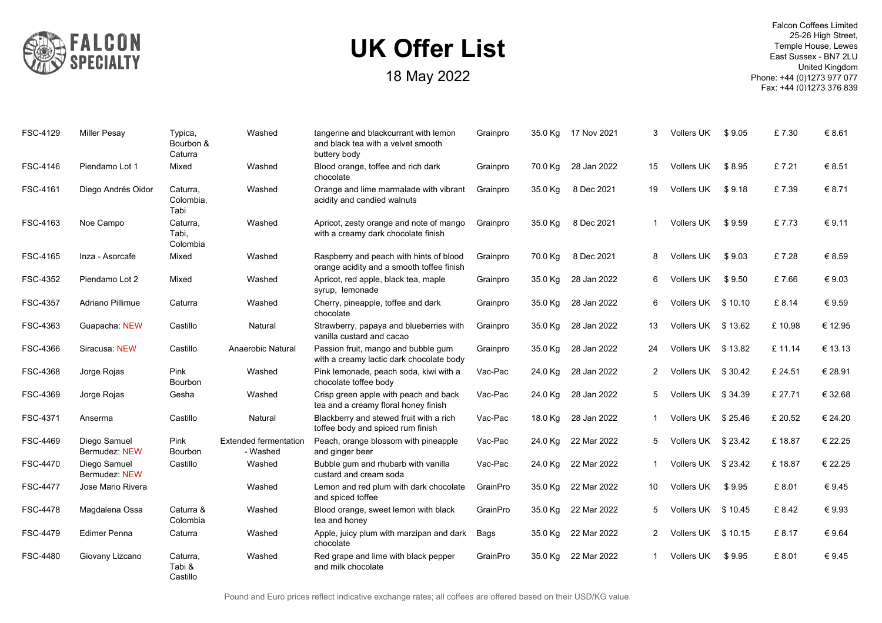

| FSC-4129        | <b>Miller Pesay</b>           | Typica,<br>Bourbon &<br>Caturra | Washed                            | tangerine and blackcurrant with lemon<br>and black tea with a velvet smooth<br>buttery body | Grainpro | 35.0 Kg | 17 Nov 2021 | 3  | Vollers UK         | \$9.05 | £7.30   | € 8.61  |
|-----------------|-------------------------------|---------------------------------|-----------------------------------|---------------------------------------------------------------------------------------------|----------|---------|-------------|----|--------------------|--------|---------|---------|
| FSC-4146        | Piendamo Lot 1                | Mixed                           | Washed                            | Blood orange, toffee and rich dark<br>chocolate                                             | Grainpro | 70.0 Kg | 28 Jan 2022 | 15 | Vollers UK         | \$8.95 | £7.21   | € 8.51  |
| FSC-4161        | Diego Andrés Oidor            | Caturra,<br>Colombia,<br>Tabi   | Washed                            | Orange and lime marmalade with vibrant<br>acidity and candied walnuts                       | Grainpro | 35.0 Kg | 8 Dec 2021  | 19 | Vollers UK         | \$9.18 | £7.39   | € 8.71  |
| FSC-4163        | Noe Campo                     | Caturra,<br>Tabi,<br>Colombia   | Washed                            | Apricot, zesty orange and note of mango<br>with a creamy dark chocolate finish              | Grainpro | 35.0 Kg | 8 Dec 2021  | -1 | Vollers UK         | \$9.59 | £7.73   | € 9.11  |
| FSC-4165        | Inza - Asorcafe               | Mixed                           | Washed                            | Raspberry and peach with hints of blood<br>orange acidity and a smooth toffee finish        | Grainpro | 70.0 Kg | 8 Dec 2021  | 8  | Vollers UK         | \$9.03 | £7.28   | € 8.59  |
| FSC-4352        | Piendamo Lot 2                | Mixed                           | Washed                            | Apricot, red apple, black tea, maple<br>syrup, lemonade                                     | Grainpro | 35.0 Kg | 28 Jan 2022 | 6  | Vollers UK         | \$9.50 | £7.66   | €9.03   |
| <b>FSC-4357</b> | Adriano Pillimue              | Caturra                         | Washed                            | Cherry, pineapple, toffee and dark<br>chocolate                                             | Grainpro | 35.0 Kg | 28 Jan 2022 | 6  | Vollers UK \$10.10 |        | £8.14   | € 9.59  |
| FSC-4363        | Guapacha NEW                  | Castillo                        | Natural                           | Strawberry, papaya and blueberries with<br>vanilla custard and cacao                        | Grainpro | 35.0 Kg | 28 Jan 2022 | 13 | Vollers UK \$13.62 |        | £10.98  | € 12.95 |
| FSC-4366        | Siracusa: NEW                 | Castillo                        | Anaerobic Natural                 | Passion fruit, mango and bubble gum<br>with a creamy lactic dark chocolate body             | Grainpro | 35.0 Kg | 28 Jan 2022 | 24 | Vollers UK \$13.82 |        | £11.14  | € 13.13 |
| FSC-4368        | Jorge Rojas                   | Pink<br><b>Bourbon</b>          | Washed                            | Pink lemonade, peach soda, kiwi with a<br>chocolate toffee body                             | Vac-Pac  | 24.0 Kg | 28 Jan 2022 | 2  | Vollers UK \$30.42 |        | £ 24.51 | € 28.91 |
| FSC-4369        | Jorge Rojas                   | Gesha                           | Washed                            | Crisp green apple with peach and back<br>tea and a creamy floral honey finish               | Vac-Pac  | 24.0 Kg | 28 Jan 2022 | 5  | Vollers UK \$34.39 |        | £ 27.71 | € 32.68 |
| FSC-4371        | Anserma                       | Castillo                        | Natural                           | Blackberry and stewed fruit with a rich<br>toffee body and spiced rum finish                | Vac-Pac  | 18.0 Kg | 28 Jan 2022 | 1  | Vollers UK \$25.46 |        | £ 20.52 | € 24.20 |
| FSC-4469        | Diego Samuel<br>Bermudez: NEW | Pink<br><b>Bourbon</b>          | Extended fermentation<br>- Washed | Peach, orange blossom with pineapple<br>and ginger beer                                     | Vac-Pac  | 24.0 Kg | 22 Mar 2022 | 5. | Vollers UK \$23.42 |        | £18.87  | € 22.25 |
| FSC-4470        | Diego Samuel<br>Bermudez: NEW | Castillo                        | Washed                            | Bubble gum and rhubarb with vanilla<br>custard and cream soda                               | Vac-Pac  | 24.0 Kg | 22 Mar 2022 | -1 | Vollers UK \$23.42 |        | £18.87  | € 22.25 |
| <b>FSC-4477</b> | Jose Mario Rivera             |                                 | Washed                            | Lemon and red plum with dark chocolate<br>and spiced toffee                                 | GrainPro | 35.0 Kg | 22 Mar 2022 | 10 | Vollers UK         | \$9.95 | £8.01   | €9.45   |
| <b>FSC-4478</b> | Magdalena Ossa                | Caturra &<br>Colombia           | Washed                            | Blood orange, sweet lemon with black<br>tea and honey                                       | GrainPro | 35.0 Kg | 22 Mar 2022 | 5  | Vollers UK \$10.45 |        | £8.42   | € 9.93  |
| FSC-4479        | Edimer Penna                  | Caturra                         | Washed                            | Apple, juicy plum with marzipan and dark<br>chocolate                                       | Bags     | 35.0 Kg | 22 Mar 2022 | 2  | Vollers UK \$10.15 |        | £8.17   | € 9.64  |
| <b>FSC-4480</b> | Giovany Lizcano               | Caturra,<br>Tabi &<br>Castillo  | Washed                            | Red grape and lime with black pepper<br>and milk chocolate                                  | GrainPro | 35.0 Kg | 22 Mar 2022 | -1 | Vollers UK         | \$9.95 | £8.01   | € 9.45  |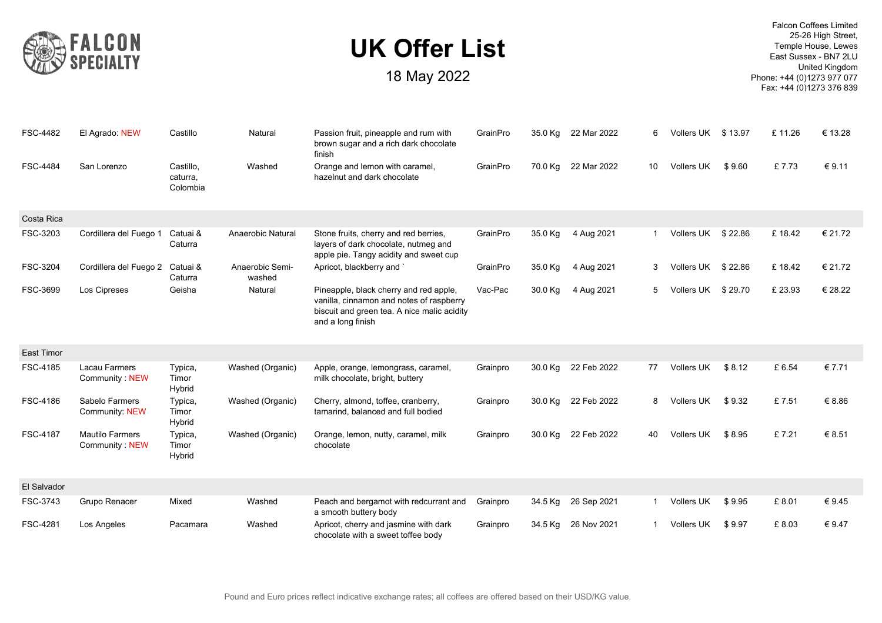

| <b>FSC-4482</b>   | El Agrado: NEW                           | Castillo                          | Natural                   | Passion fruit, pineapple and rum with<br>brown sugar and a rich dark chocolate<br>finish                                                               | GrainPro | 35.0 Kg | 22 Mar 2022 | 6            | Vollers UK \$13.97 |         | £11.26  | € 13.28 |
|-------------------|------------------------------------------|-----------------------------------|---------------------------|--------------------------------------------------------------------------------------------------------------------------------------------------------|----------|---------|-------------|--------------|--------------------|---------|---------|---------|
| <b>FSC-4484</b>   | San Lorenzo                              | Castillo,<br>caturra,<br>Colombia | Washed                    | Orange and lemon with caramel,<br>hazelnut and dark chocolate                                                                                          | GrainPro | 70.0 Kg | 22 Mar 2022 | 10           | <b>Vollers UK</b>  | \$9.60  | £7.73   | € 9.11  |
| Costa Rica        |                                          |                                   |                           |                                                                                                                                                        |          |         |             |              |                    |         |         |         |
| FSC-3203          | Cordillera del Fuego 1                   | Catuai &<br>Caturra               | Anaerobic Natural         | Stone fruits, cherry and red berries,<br>layers of dark chocolate, nutmeg and<br>apple pie. Tangy acidity and sweet cup                                | GrainPro | 35.0 Kg | 4 Aug 2021  | $1 \quad$    | Vollers UK \$22.86 |         | £18.42  | € 21.72 |
| FSC-3204          | Cordillera del Fuego 2                   | Catuai &<br>Caturra               | Anaerobic Semi-<br>washed | Apricot, blackberry and `                                                                                                                              | GrainPro | 35.0 Kg | 4 Aug 2021  | 3            | Vollers UK \$22.86 |         | £18.42  | € 21.72 |
| FSC-3699          | Los Cipreses                             | Geisha                            | Natural                   | Pineapple, black cherry and red apple,<br>vanilla, cinnamon and notes of raspberry<br>biscuit and green tea. A nice malic acidity<br>and a long finish | Vac-Pac  | 30.0 Kg | 4 Aug 2021  | 5            | Vollers UK         | \$29.70 | £ 23.93 | € 28.22 |
| <b>East Timor</b> |                                          |                                   |                           |                                                                                                                                                        |          |         |             |              |                    |         |         |         |
| FSC-4185          | <b>Lacau Farmers</b><br>Community NEW    | Typica,<br>Timor<br>Hybrid        | Washed (Organic)          | Apple, orange, lemongrass, caramel,<br>milk chocolate, bright, buttery                                                                                 | Grainpro | 30.0 Kg | 22 Feb 2022 | 77           | Vollers UK         | \$8.12  | £ 6.54  | € 7.71  |
| FSC-4186          | Sabelo Farmers<br>Community: NEW         | Typica,<br>Timor<br>Hybrid        | Washed (Organic)          | Cherry, almond, toffee, cranberry,<br>tamarind, balanced and full bodied                                                                               | Grainpro | 30.0 Kg | 22 Feb 2022 | 8            | Vollers UK         | \$9.32  | £7.51   | € 8.86  |
| <b>FSC-4187</b>   | <b>Mautilo Farmers</b><br>Community: NEW | Typica,<br>Timor<br>Hybrid        | Washed (Organic)          | Orange, lemon, nutty, caramel, milk<br>chocolate                                                                                                       | Grainpro | 30.0 Kg | 22 Feb 2022 | 40           | Vollers UK         | \$8.95  | £7.21   | € 8.51  |
| El Salvador       |                                          |                                   |                           |                                                                                                                                                        |          |         |             |              |                    |         |         |         |
| FSC-3743          | Grupo Renacer                            | Mixed                             | Washed                    | Peach and bergamot with redcurrant and<br>a smooth buttery body                                                                                        | Grainpro | 34.5 Kg | 26 Sep 2021 | $\mathbf{1}$ | Vollers UK         | \$9.95  | £8.01   | €9.45   |
| FSC-4281          | Los Angeles                              | Pacamara                          | Washed                    | Apricot, cherry and jasmine with dark<br>chocolate with a sweet toffee body                                                                            | Grainpro | 34.5 Kg | 26 Nov 2021 | 1            | <b>Vollers UK</b>  | \$9.97  | £8.03   | € 9.47  |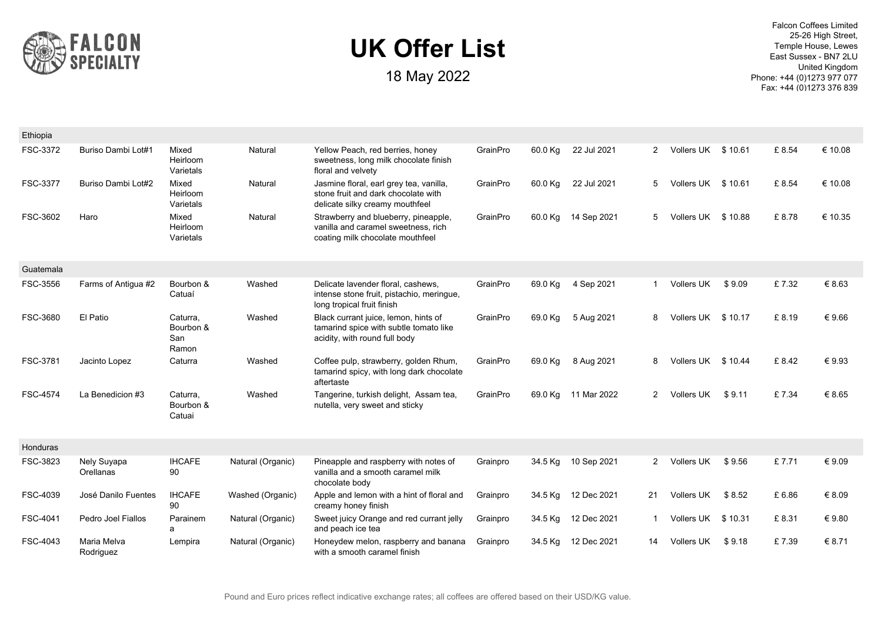

18 May 2022

| Ethiopia        |                          |                                       |                   |                                                                                                                   |          |         |                     |              |                    |         |       |         |
|-----------------|--------------------------|---------------------------------------|-------------------|-------------------------------------------------------------------------------------------------------------------|----------|---------|---------------------|--------------|--------------------|---------|-------|---------|
| FSC-3372        | Buriso Dambi Lot#1       | Mixed<br>Heirloom<br>Varietals        | Natural           | Yellow Peach, red berries, honey<br>sweetness, long milk chocolate finish<br>floral and velvety                   | GrainPro | 60.0 Kg | 22 Jul 2021         | 2            | Vollers UK \$10.61 |         | £8.54 | € 10.08 |
| FSC-3377        | Buriso Dambi Lot#2       | Mixed<br>Heirloom<br>Varietals        | Natural           | Jasmine floral, earl grey tea, vanilla,<br>stone fruit and dark chocolate with<br>delicate silky creamy mouthfeel | GrainPro | 60.0 Kg | 22 Jul 2021         | 5            | Vollers UK \$10.61 |         | £8.54 | € 10.08 |
| FSC-3602        | Haro                     | Mixed<br>Heirloom<br>Varietals        | Natural           | Strawberry and blueberry, pineapple,<br>vanilla and caramel sweetness, rich<br>coating milk chocolate mouthfeel   | GrainPro |         | 60.0 Kg 14 Sep 2021 | 5            | Vollers UK \$10.88 |         | £8.78 | € 10.35 |
| Guatemala       |                          |                                       |                   |                                                                                                                   |          |         |                     |              |                    |         |       |         |
| FSC-3556        | Farms of Antigua #2      | Bourbon &<br>Catuaí                   | Washed            | Delicate lavender floral, cashews,<br>intense stone fruit, pistachio, meringue,<br>long tropical fruit finish     | GrainPro | 69.0 Kg | 4 Sep 2021          |              | <b>Vollers UK</b>  | \$9.09  | £7.32 | € 8.63  |
| FSC-3680        | El Patio                 | Caturra,<br>Bourbon &<br>San<br>Ramon | Washed            | Black currant juice, lemon, hints of<br>tamarind spice with subtle tomato like<br>acidity, with round full body   | GrainPro | 69.0 Kg | 5 Aug 2021          | 8            | Vollers UK \$10.17 |         | £8.19 | €9.66   |
| FSC-3781        | Jacinto Lopez            | Caturra                               | Washed            | Coffee pulp, strawberry, golden Rhum,<br>tamarind spicy, with long dark chocolate<br>aftertaste                   | GrainPro | 69.0 Kg | 8 Aug 2021          | 8            | Vollers UK \$10.44 |         | £8.42 | €9.93   |
| <b>FSC-4574</b> | La Benedicion #3         | Caturra,<br>Bourbon &<br>Catuai       | Washed            | Tangerine, turkish delight, Assam tea,<br>nutella, very sweet and sticky                                          | GrainPro | 69.0 Kg | 11 Mar 2022         | $\mathbf{2}$ | <b>Vollers UK</b>  | \$9.11  | £7.34 | € 8.65  |
| Honduras        |                          |                                       |                   |                                                                                                                   |          |         |                     |              |                    |         |       |         |
| FSC-3823        | Nely Suyapa<br>Orellanas | <b>IHCAFE</b><br>90                   | Natural (Organic) | Pineapple and raspberry with notes of<br>vanilla and a smooth caramel milk<br>chocolate body                      | Grainpro |         | 34.5 Kg 10 Sep 2021 | $2^{\circ}$  | Vollers UK         | \$9.56  | £7.71 | €9.09   |
| FSC-4039        | José Danilo Fuentes      | <b>IHCAFE</b><br>90                   | Washed (Organic)  | Apple and lemon with a hint of floral and<br>creamy honey finish                                                  | Grainpro | 34.5 Kg | 12 Dec 2021         | 21           | <b>Vollers UK</b>  | \$8.52  | £6.86 | € 8.09  |
| FSC-4041        | Pedro Joel Fiallos       | Parainem<br>a                         | Natural (Organic) | Sweet juicy Orange and red currant jelly<br>and peach ice tea                                                     | Grainpro | 34.5 Kg | 12 Dec 2021         |              | Vollers UK         | \$10.31 | £8.31 | €9.80   |
| FSC-4043        | Maria Melva<br>Rodriguez | Lempira                               | Natural (Organic) | Honeydew melon, raspberry and banana<br>with a smooth caramel finish                                              | Grainpro | 34.5 Kg | 12 Dec 2021         | 14           | Vollers UK         | \$9.18  | £7.39 | € 8.71  |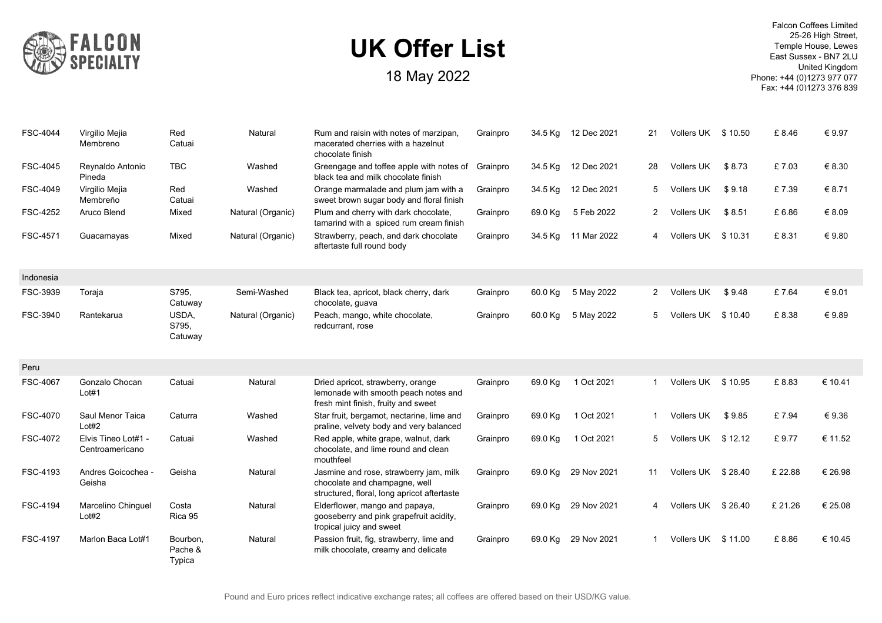

| FSC-4044        | Virgilio Mejia<br>Membreno             | Red<br>Catuai                 | Natural           | Rum and raisin with notes of marzipan.<br>macerated cherries with a hazelnut<br>chocolate finish                       | Grainpro | 34.5 Kg | 12 Dec 2021         | 21           | Vollers UK \$10.50 |         | £8.46   | € 9.97  |
|-----------------|----------------------------------------|-------------------------------|-------------------|------------------------------------------------------------------------------------------------------------------------|----------|---------|---------------------|--------------|--------------------|---------|---------|---------|
| FSC-4045        | Reynaldo Antonio<br>Pineda             | <b>TBC</b>                    | Washed            | Greengage and toffee apple with notes of<br>black tea and milk chocolate finish                                        | Grainpro | 34.5 Kg | 12 Dec 2021         | 28           | Vollers UK         | \$8.73  | £7.03   | € 8.30  |
| FSC-4049        | Virgilio Mejia<br>Membreño             | Red<br>Catuai                 | Washed            | Orange marmalade and plum jam with a<br>sweet brown sugar body and floral finish                                       | Grainpro | 34.5 Kg | 12 Dec 2021         | 5            | Vollers UK         | \$9.18  | £7.39   | € 8.71  |
| FSC-4252        | Aruco Blend                            | Mixed                         | Natural (Organic) | Plum and cherry with dark chocolate,<br>tamarind with a spiced rum cream finish                                        | Grainpro | 69.0 Kg | 5 Feb 2022          | $\mathbf{2}$ | <b>Vollers UK</b>  | \$8.51  | £6.86   | € 8.09  |
| FSC-4571        | Guacamayas                             | Mixed                         | Natural (Organic) | Strawberry, peach, and dark chocolate<br>aftertaste full round body                                                    | Grainpro |         | 34.5 Kg 11 Mar 2022 | 4            | Vollers UK         | \$10.31 | £8.31   | € 9.80  |
| Indonesia       |                                        |                               |                   |                                                                                                                        |          |         |                     |              |                    |         |         |         |
| FSC-3939        | Toraja                                 | S795.<br>Catuway              | Semi-Washed       | Black tea, apricot, black cherry, dark<br>chocolate, guava                                                             | Grainpro | 60.0 Kg | 5 May 2022          | $2^{\circ}$  | <b>Vollers UK</b>  | \$9.48  | £7.64   | € 9.01  |
| FSC-3940        | Rantekarua                             | USDA.<br>S795,<br>Catuway     | Natural (Organic) | Peach, mango, white chocolate,<br>redcurrant, rose                                                                     | Grainpro | 60.0 Kg | 5 May 2022          | 5            | <b>Vollers UK</b>  | \$10.40 | £8.38   | €9.89   |
| Peru            |                                        |                               |                   |                                                                                                                        |          |         |                     |              |                    |         |         |         |
| <b>FSC-4067</b> | Gonzalo Chocan<br>Lot#1                | Catuai                        | Natural           | Dried apricot, strawberry, orange<br>lemonade with smooth peach notes and<br>fresh mint finish, fruity and sweet       | Grainpro | 69.0 Kg | 1 Oct 2021          | 1            | Vollers UK         | \$10.95 | £8.83   | € 10.41 |
| FSC-4070        | Saul Menor Taica<br>Lot#2              | Caturra                       | Washed            | Star fruit, bergamot, nectarine, lime and<br>praline, velvety body and very balanced                                   | Grainpro | 69.0 Kg | 1 Oct 2021          | 1            | Vollers UK         | \$9.85  | £7.94   | €9.36   |
| FSC-4072        | Elvis Tineo Lot#1 -<br>Centroamericano | Catuai                        | Washed            | Red apple, white grape, walnut, dark<br>chocolate, and lime round and clean<br>mouthfeel                               | Grainpro | 69.0 Kg | 1 Oct 2021          | 5            | Vollers UK \$12.12 |         | £9.77   | € 11.52 |
| FSC-4193        | Andres Goicochea -<br>Geisha           | Geisha                        | Natural           | Jasmine and rose, strawberry jam, milk<br>chocolate and champagne, well<br>structured, floral, long apricot aftertaste | Grainpro | 69.0 Kg | 29 Nov 2021         | 11           | Vollers UK \$28.40 |         | £ 22.88 | € 26.98 |
| FSC-4194        | Marcelino Chinguel<br>Lot#2            | Costa<br>Rica 95              | Natural           | Elderflower, mango and papaya,<br>gooseberry and pink grapefruit acidity,<br>tropical juicy and sweet                  | Grainpro | 69.0 Kg | 29 Nov 2021         | 4            | Vollers UK \$26.40 |         | £ 21.26 | € 25.08 |
| <b>FSC-4197</b> | Marlon Baca Lot#1                      | Bourbon.<br>Pache &<br>Typica | Natural           | Passion fruit, fig. strawberry, lime and<br>milk chocolate, creamy and delicate                                        | Grainpro | 69.0 Kg | 29 Nov 2021         | 1            | Vollers UK \$11.00 |         | £8.86   | € 10.45 |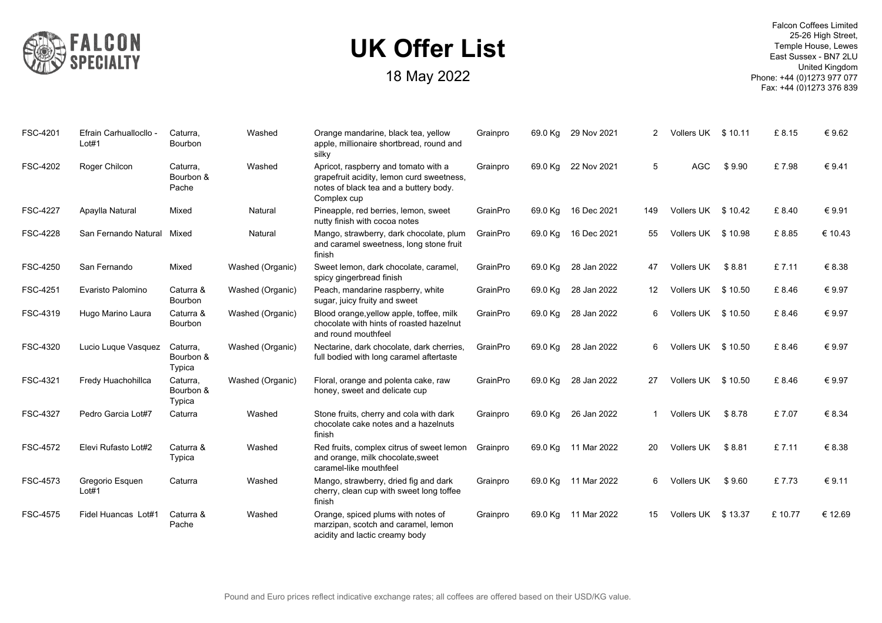

| FSC-4201        | Efrain Carhuallocllo -<br>Lot#1 | Caturra,<br>Bourbon             | Washed           | Orange mandarine, black tea, yellow<br>apple, millionaire shortbread, round and<br>silkv                                                   | Grainpro | 69.0 Kg | 29 Nov 2021 | $\overline{2}$ | Vollers UK         | \$10.11 | £8.15  | €9.62   |
|-----------------|---------------------------------|---------------------------------|------------------|--------------------------------------------------------------------------------------------------------------------------------------------|----------|---------|-------------|----------------|--------------------|---------|--------|---------|
| FSC-4202        | Roger Chilcon                   | Caturra.<br>Bourbon &<br>Pache  | Washed           | Apricot, raspberry and tomato with a<br>grapefruit acidity, lemon curd sweetness,<br>notes of black tea and a buttery body.<br>Complex cup | Grainpro | 69.0 Kg | 22 Nov 2021 | 5              | <b>AGC</b>         | \$9.90  | £7.98  | € 9.41  |
| <b>FSC-4227</b> | Apaylla Natural                 | Mixed                           | Natural          | Pineapple, red berries, lemon, sweet<br>nutty finish with cocoa notes                                                                      | GrainPro | 69.0 Kg | 16 Dec 2021 | 149            | Vollers UK         | \$10.42 | £8.40  | €9.91   |
| <b>FSC-4228</b> | San Fernando Natural            | Mixed                           | Natural          | Mango, strawberry, dark chocolate, plum<br>and caramel sweetness, long stone fruit<br>finish                                               | GrainPro | 69.0 Kg | 16 Dec 2021 | 55             | Vollers UK \$10.98 |         | £8.85  | € 10.43 |
| <b>FSC-4250</b> | San Fernando                    | Mixed                           | Washed (Organic) | Sweet lemon, dark chocolate, caramel,<br>spicy gingerbread finish                                                                          | GrainPro | 69.0 Kg | 28 Jan 2022 | 47             | Vollers UK         | \$8.81  | £7.11  | € 8.38  |
| FSC-4251        | Evaristo Palomino               | Caturra &<br>Bourbon            | Washed (Organic) | Peach, mandarine raspberry, white<br>sugar, juicy fruity and sweet                                                                         | GrainPro | 69.0 Kg | 28 Jan 2022 | 12             | Vollers UK \$10.50 |         | £8.46  | € 9.97  |
| FSC-4319        | Hugo Marino Laura               | Caturra &<br>Bourbon            | Washed (Organic) | Blood orange, yellow apple, toffee, milk<br>chocolate with hints of roasted hazelnut<br>and round mouthfeel                                | GrainPro | 69.0 Kg | 28 Jan 2022 | 6              | Vollers UK         | \$10.50 | £8.46  | € 9.97  |
| FSC-4320        | Lucio Luque Vasquez             | Caturra,<br>Bourbon &<br>Typica | Washed (Organic) | Nectarine, dark chocolate, dark cherries,<br>full bodied with long caramel aftertaste                                                      | GrainPro | 69.0 Kg | 28 Jan 2022 | 6              | Vollers UK \$10.50 |         | £8.46  | € 9.97  |
| FSC-4321        | Fredy Huachohillca              | Caturra,<br>Bourbon &<br>Typica | Washed (Organic) | Floral, orange and polenta cake, raw<br>honey, sweet and delicate cup                                                                      | GrainPro | 69.0 Kg | 28 Jan 2022 | 27             | Vollers UK         | \$10.50 | £8.46  | € 9.97  |
| <b>FSC-4327</b> | Pedro Garcia Lot#7              | Caturra                         | Washed           | Stone fruits, cherry and cola with dark<br>chocolate cake notes and a hazelnuts<br>finish                                                  | Grainpro | 69.0 Kg | 26 Jan 2022 | $\mathbf{1}$   | <b>Vollers UK</b>  | \$8.78  | £7.07  | € 8.34  |
| FSC-4572        | Elevi Rufasto Lot#2             | Caturra &<br>Typica             | Washed           | Red fruits, complex citrus of sweet lemon<br>and orange, milk chocolate, sweet<br>caramel-like mouthfeel                                   | Grainpro | 69.0 Kg | 11 Mar 2022 | 20             | Vollers UK         | \$8.81  | £7.11  | € 8.38  |
| FSC-4573        | Gregorio Esquen<br>Lot#1        | Caturra                         | Washed           | Mango, strawberry, dried fig and dark<br>cherry, clean cup with sweet long toffee<br>finish                                                | Grainpro | 69.0 Kg | 11 Mar 2022 | 6              | Vollers UK         | \$9.60  | £7.73  | € 9.11  |
| <b>FSC-4575</b> | Fidel Huancas Lot#1             | Caturra &<br>Pache              | Washed           | Orange, spiced plums with notes of<br>marzipan, scotch and caramel, lemon<br>acidity and lactic creamy body                                | Grainpro | 69.0 Kg | 11 Mar 2022 | 15             | Vollers UK         | \$13.37 | £10.77 | € 12.69 |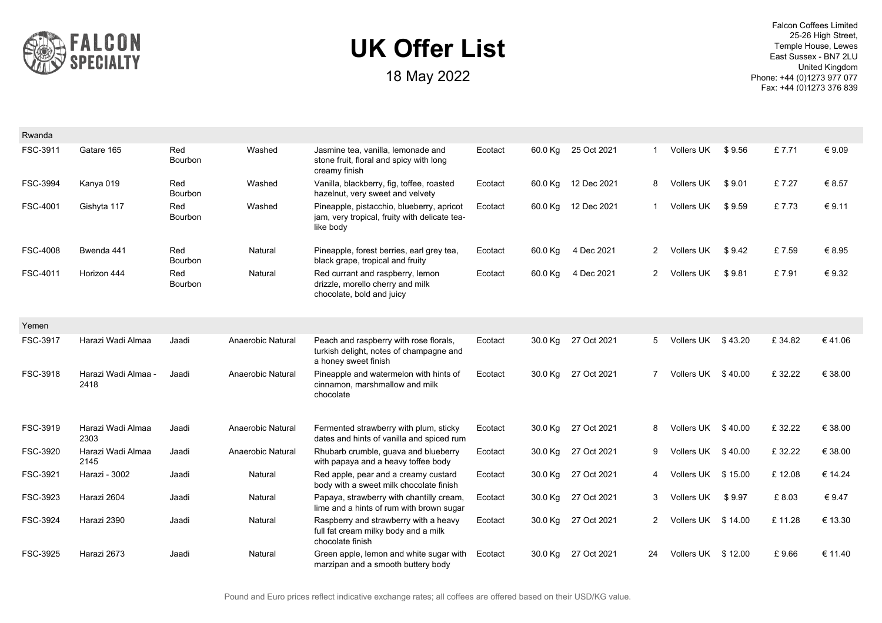

| Rwanda          |                             |                       |                   |                                                                                                           |         |         |                     |              |                    |         |        |         |
|-----------------|-----------------------------|-----------------------|-------------------|-----------------------------------------------------------------------------------------------------------|---------|---------|---------------------|--------------|--------------------|---------|--------|---------|
| FSC-3911        | Gatare 165                  | Red<br>Bourbon        | Washed            | Jasmine tea, vanilla, lemonade and<br>stone fruit, floral and spicy with long<br>creamy finish            | Ecotact | 60.0 Kg | 25 Oct 2021         | -1           | <b>Vollers UK</b>  | \$9.56  | £7.71  | € 9.09  |
| FSC-3994        | Kanya 019                   | Red<br><b>Bourbon</b> | Washed            | Vanilla, blackberry, fig, toffee, roasted<br>hazelnut, very sweet and velvety                             | Ecotact | 60.0 Kg | 12 Dec 2021         | 8            | Vollers UK         | \$9.01  | £7.27  | € 8.57  |
| FSC-4001        | Gishyta 117                 | Red<br>Bourbon        | Washed            | Pineapple, pistacchio, blueberry, apricot<br>jam, very tropical, fruity with delicate tea-<br>like body   | Ecotact |         | 60.0 Kg 12 Dec 2021 | -1           | Vollers UK         | \$9.59  | £7.73  | € 9.11  |
| <b>FSC-4008</b> | Bwenda 441                  | Red<br>Bourbon        | Natural           | Pineapple, forest berries, earl grey tea,<br>black grape, tropical and fruity                             | Ecotact | 60.0 Kg | 4 Dec 2021          | $2^{\circ}$  | <b>Vollers UK</b>  | \$9.42  | £7.59  | € 8.95  |
| FSC-4011        | Horizon 444                 | Red<br>Bourbon        | Natural           | Red currant and raspberry, lemon<br>drizzle, morello cherry and milk<br>chocolate, bold and juicy         | Ecotact | 60.0 Kg | 4 Dec 2021          | $\mathbf{2}$ | <b>Vollers UK</b>  | \$9.81  | £7.91  | € 9.32  |
| Yemen           |                             |                       |                   |                                                                                                           |         |         |                     |              |                    |         |        |         |
| FSC-3917        | Harazi Wadi Almaa           | Jaadi                 | Anaerobic Natural | Peach and raspberry with rose florals,<br>turkish delight, notes of champagne and<br>a honey sweet finish | Ecotact | 30.0 Kg | 27 Oct 2021         | 5            | Vollers UK \$43.20 |         | £34.82 | €41.06  |
| FSC-3918        | Harazi Wadi Almaa -<br>2418 | Jaadi                 | Anaerobic Natural | Pineapple and watermelon with hints of<br>cinnamon, marshmallow and milk<br>chocolate                     | Ecotact |         | 30.0 Kg 27 Oct 2021 | $7^{\circ}$  | Vollers UK \$40.00 |         | £32.22 | € 38.00 |
| FSC-3919        | Harazi Wadi Almaa<br>2303   | Jaadi                 | Anaerobic Natural | Fermented strawberry with plum, sticky<br>dates and hints of vanilla and spiced rum                       | Ecotact | 30.0 Kg | 27 Oct 2021         | 8            | Vollers UK \$40.00 |         | £32.22 | € 38.00 |
| FSC-3920        | Harazi Wadi Almaa<br>2145   | Jaadi                 | Anaerobic Natural | Rhubarb crumble, guava and blueberry<br>with papaya and a heavy toffee body                               | Ecotact | 30.0 Kg | 27 Oct 2021         | 9            | Vollers UK         | \$40.00 | £32.22 | € 38.00 |
| FSC-3921        | Harazi - 3002               | Jaadi                 | Natural           | Red apple, pear and a creamy custard<br>body with a sweet milk chocolate finish                           | Ecotact | 30.0 Kg | 27 Oct 2021         | 4            | Vollers UK         | \$15.00 | £12.08 | € 14.24 |
| FSC-3923        | Harazi 2604                 | Jaadi                 | Natural           | Papaya, strawberry with chantilly cream,<br>lime and a hints of rum with brown sugar                      | Ecotact | 30.0 Kg | 27 Oct 2021         | 3            | <b>Vollers UK</b>  | \$9.97  | £8.03  | € 9.47  |
| FSC-3924        | Harazi 2390                 | Jaadi                 | Natural           | Raspberry and strawberry with a heavy<br>full fat cream milky body and a milk<br>chocolate finish         | Ecotact | 30.0 Kg | 27 Oct 2021         | $\mathbf{2}$ | Vollers UK \$14.00 |         | £11.28 | € 13.30 |
| FSC-3925        | Harazi 2673                 | Jaadi                 | Natural           | Green apple, lemon and white sugar with<br>marzipan and a smooth buttery body                             | Ecotact | 30.0 Kg | 27 Oct 2021         | 24           | Vollers UK         | \$12.00 | £9.66  | € 11.40 |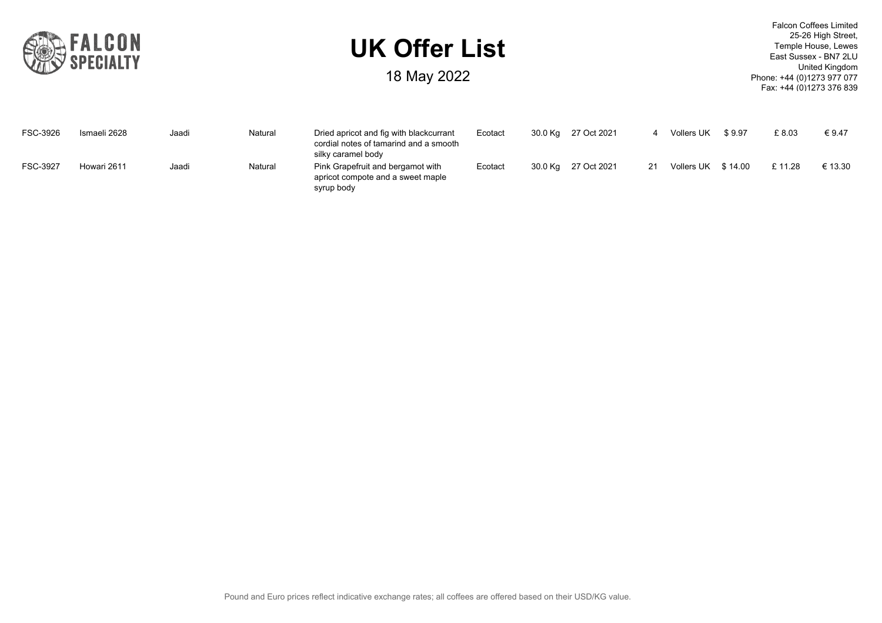

18 May 2022

| FSC-3926 | Ismaeli 2628 | Jaadi | Natural | Dried apricot and fig with blackcurrant<br>cordial notes of tamarind and a smooth<br>silky caramel body | Ecotact | 30.0 Kg | 27 Oct 2021 |    | Vollers UK        | \$9.97  | £8.03  | €9.47   |
|----------|--------------|-------|---------|---------------------------------------------------------------------------------------------------------|---------|---------|-------------|----|-------------------|---------|--------|---------|
| FSC-3927 | Howari 2611  | Jaadi | Natural | Pink Grapefruit and bergamot with<br>apricot compote and a sweet maple<br>syrup body                    | Ecotact | 30.0 Kg | 27 Oct 2021 | 21 | <b>Vollers UK</b> | \$14.00 | £11.28 | € 13.30 |